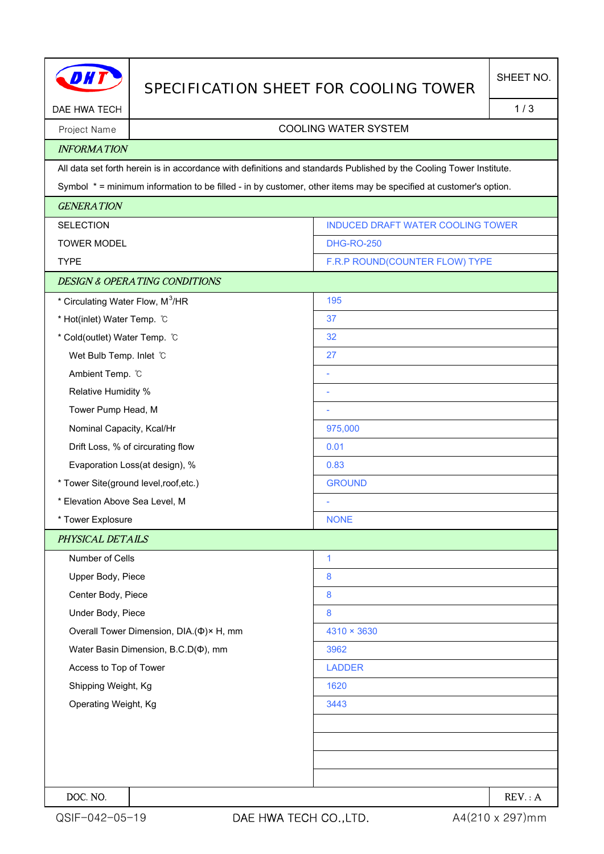|                                              | SPECIFICATION SHEET FOR COOLING TOWER    |                                                                                                                     | SHEET NO. |  |
|----------------------------------------------|------------------------------------------|---------------------------------------------------------------------------------------------------------------------|-----------|--|
| DAE HWA TECH                                 |                                          | 1/3                                                                                                                 |           |  |
| Project Name                                 |                                          | <b>COOLING WATER SYSTEM</b>                                                                                         |           |  |
| <b>INFORMATION</b>                           |                                          |                                                                                                                     |           |  |
|                                              |                                          | All data set forth herein is in accordance with definitions and standards Published by the Cooling Tower Institute. |           |  |
|                                              |                                          | Symbol * = minimum information to be filled - in by customer, other items may be specified at customer's option.    |           |  |
| <b>GENERATION</b>                            |                                          |                                                                                                                     |           |  |
| <b>SELECTION</b>                             |                                          | <b>INDUCED DRAFT WATER COOLING TOWER</b>                                                                            |           |  |
| <b>TOWER MODEL</b>                           |                                          | <b>DHG-RO-250</b>                                                                                                   |           |  |
| <b>TYPE</b>                                  |                                          | F.R.P ROUND(COUNTER FLOW) TYPE                                                                                      |           |  |
|                                              | <b>DESIGN &amp; OPERATING CONDITIONS</b> |                                                                                                                     |           |  |
| * Circulating Water Flow, M <sup>3</sup> /HR |                                          | 195                                                                                                                 |           |  |
| * Hot(inlet) Water Temp. C                   |                                          | 37                                                                                                                  |           |  |
| * Cold(outlet) Water Temp. °C                |                                          | 32                                                                                                                  |           |  |
| Wet Bulb Temp. Inlet C                       |                                          | 27                                                                                                                  |           |  |
| Ambient Temp. °C                             |                                          |                                                                                                                     |           |  |
| Relative Humidity %                          |                                          |                                                                                                                     |           |  |
| Tower Pump Head, M                           |                                          |                                                                                                                     |           |  |
| Nominal Capacity, Kcal/Hr                    |                                          | 975,000                                                                                                             |           |  |
|                                              | Drift Loss, % of circurating flow        | 0.01                                                                                                                |           |  |
| Evaporation Loss(at design), %               |                                          | 0.83                                                                                                                |           |  |
| * Tower Site(ground level, roof, etc.)       |                                          | <b>GROUND</b>                                                                                                       |           |  |
| * Elevation Above Sea Level, M               |                                          |                                                                                                                     |           |  |
| * Tower Explosure                            |                                          | <b>NONE</b>                                                                                                         |           |  |
| PHYSICAL DETAILS                             |                                          |                                                                                                                     |           |  |
| Number of Cells                              |                                          | 1                                                                                                                   |           |  |
| Upper Body, Piece                            |                                          | 8                                                                                                                   |           |  |
| Center Body, Piece                           |                                          | 8                                                                                                                   |           |  |
| Under Body, Piece                            |                                          | 8                                                                                                                   |           |  |
| Overall Tower Dimension, DIA.(Φ)× H, mm      |                                          | 4310 × 3630                                                                                                         |           |  |
| Water Basin Dimension, B.C.D(¢), mm          |                                          | 3962                                                                                                                |           |  |
| Access to Top of Tower                       |                                          | <b>LADDER</b>                                                                                                       |           |  |
| Shipping Weight, Kg                          |                                          | 1620                                                                                                                |           |  |
| Operating Weight, Kg                         |                                          | 3443                                                                                                                |           |  |
|                                              |                                          |                                                                                                                     |           |  |
|                                              |                                          |                                                                                                                     |           |  |
|                                              |                                          |                                                                                                                     |           |  |
|                                              |                                          |                                                                                                                     |           |  |
| DOC. NO.                                     |                                          |                                                                                                                     | REV: A    |  |

H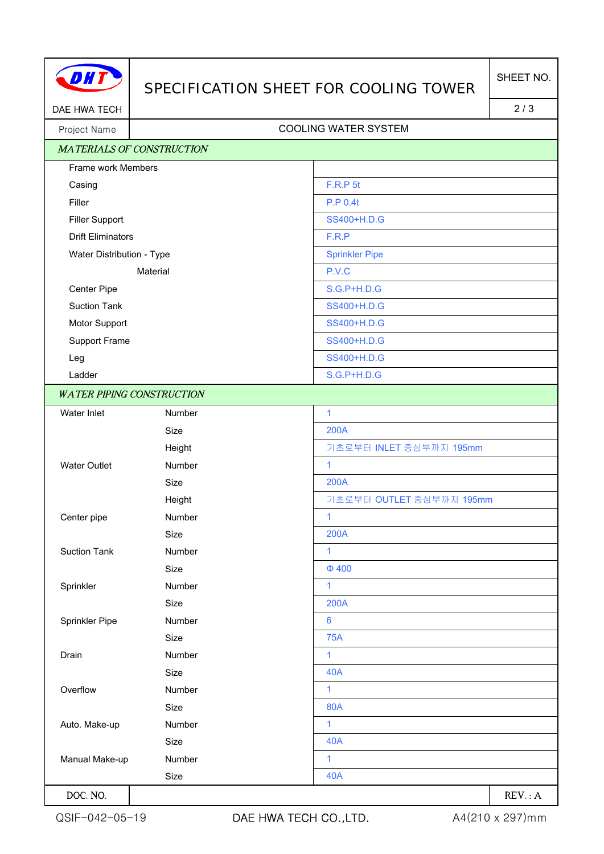

## SPECIFICATION SHEET FOR COOLING TOWER

DAE HWA TECH 2/3

## Project Name | Name | Name | Name | Name | Name | Name | Name | Name | Name | Name | Name | Name | Name | Name | Name | Name | Name | Name | Name | Name | Name | Name | Name | Name | Name | Name | Name | Name | Name | Name

| <b>MATERIALS OF CONSTRUCTION</b>                      |               |                          |
|-------------------------------------------------------|---------------|--------------------------|
| Frame work Members                                    |               |                          |
| Casing                                                |               | F.R.P 5t                 |
| Filler                                                |               | <b>P.P 0.4t</b>          |
| <b>Filler Support</b>                                 |               | SS400+H.D.G              |
| <b>Drift Eliminators</b><br>Water Distribution - Type |               | F.R.P                    |
|                                                       |               | <b>Sprinkler Pipe</b>    |
| Material                                              |               | P.V.C                    |
| Center Pipe                                           |               | <b>S.G.P+H.D.G</b>       |
| <b>Suction Tank</b>                                   |               | SS400+H.D.G              |
| Motor Support                                         |               | SS400+H.D.G              |
| Support Frame                                         |               | SS400+H.D.G              |
| Leg                                                   |               | SS400+H.D.G              |
| Ladder                                                |               | <b>S.G.P+H.D.G</b>       |
| <b>WATER PIPING CONSTRUCTION</b>                      |               |                          |
| Water Inlet                                           | Number        | $\mathbf{1}$             |
|                                                       | Size          | <b>200A</b>              |
|                                                       | Height        | 기초로부터 INLET 중심부까지 195mm  |
| <b>Water Outlet</b>                                   | <b>Number</b> | $\mathbf{1}$             |
|                                                       | Size          | <b>200A</b>              |
|                                                       | Height        | 기초로부터 OUTLET 중심부까지 195mm |
| Center pipe                                           | Number        | $\mathbf{1}$             |
|                                                       | Size          | <b>200A</b>              |
| <b>Suction Tank</b>                                   | Number        | 1                        |
|                                                       | Size          | $\Phi$ 400               |
| Sprinkler                                             | Number        | 1                        |
|                                                       | Size          | 200A                     |
| Sprinkler Pipe                                        | Number        | $6\phantom{1}6$          |
|                                                       | Size          | <b>75A</b>               |
| Drain                                                 | Number        | 1                        |
|                                                       | Size          | <b>40A</b>               |
| Overflow                                              | Number        | 1                        |
|                                                       | Size          | <b>80A</b>               |
| Auto. Make-up                                         | Number        | $\mathbf{1}$             |
|                                                       | Size          | <b>40A</b>               |
| Manual Make-up                                        | Number        | 1                        |
|                                                       | Size          | <b>40A</b>               |
| DOC. NO.                                              |               | REV: A                   |